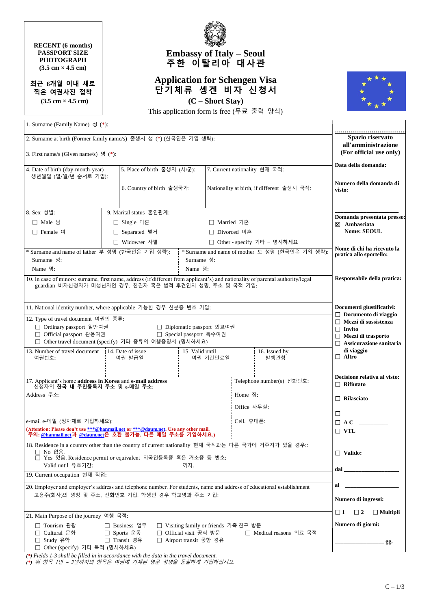## **RECENT (6 months) PASSPORT SIZE PHOTOGRAPH (3.5 cm × 4.5 cm)**

**최근 6개월 이내 새로 찍은 여권사진 접착 (3.5 cm × 4.5 cm)**



## **Embassy of Italy – Seoul 주한 이탈리아 대사관**

## **Application for Schengen Visa 단기체류 솅겐 비자 신청서 (C – Short Stay)**



This application form is free (무료 출력 양식)

| 1. Surname (Family Name) 성 (*):                                                                                                                                                                                                                         |                         |                           |                               |                           |                                                                                                                                                                                                                                 |                                                                                                                                            |                                            |
|---------------------------------------------------------------------------------------------------------------------------------------------------------------------------------------------------------------------------------------------------------|-------------------------|---------------------------|-------------------------------|---------------------------|---------------------------------------------------------------------------------------------------------------------------------------------------------------------------------------------------------------------------------|--------------------------------------------------------------------------------------------------------------------------------------------|--------------------------------------------|
| 2. Surname at birth (Former family name/s) 출생시 성 (*) (한국인은 기입 생략):<br>3. First name/s (Given name/s) $\mathfrak{B}$ (*):                                                                                                                                |                         |                           |                               |                           |                                                                                                                                                                                                                                 | Spazio riservato<br>all'amministrazione<br>(For official use only)                                                                         |                                            |
|                                                                                                                                                                                                                                                         |                         |                           |                               |                           |                                                                                                                                                                                                                                 | Data della domanda:                                                                                                                        |                                            |
| 5. Place of birth 출생지 (시/군):<br>4. Date of birth (day-month-year)<br>생년월일 (일/월/년 순서로 기입):                                                                                                                                                               |                         |                           | 7. Current nationality 현재 국적: |                           |                                                                                                                                                                                                                                 |                                                                                                                                            |                                            |
|                                                                                                                                                                                                                                                         |                         | 6. Country of birth 출생국가: |                               |                           |                                                                                                                                                                                                                                 | Nationality at birth, if different 출생시 국적:                                                                                                 | Numero della domanda di<br>visto:          |
| 8. Sex 성별:                                                                                                                                                                                                                                              | 9. Marital status 혼인관계: |                           |                               |                           |                                                                                                                                                                                                                                 |                                                                                                                                            |                                            |
| □ Male 남                                                                                                                                                                                                                                                |                         | □ Single 미혼               |                               |                           | □ Married 기혼                                                                                                                                                                                                                    |                                                                                                                                            | Domanda presentata presso:<br>X Ambasciata |
| $\Box$ Female $\alpha$                                                                                                                                                                                                                                  |                         | □ Separated 별거            | □ Divorced 이혼                 |                           |                                                                                                                                                                                                                                 | <b>Nome: SEOUL</b>                                                                                                                         |                                            |
|                                                                                                                                                                                                                                                         |                         | □ Widow/er 사별             |                               |                           |                                                                                                                                                                                                                                 | □ Other - specify 기타 – 명시하세요                                                                                                               |                                            |
| * Surname and name of father 부 성명 (한국인은 기입 생략):<br>* Surname and name of mother 모 성명 (한국인은 기입 생략):<br>Surname 성:<br>Surname 성:<br>Name 명:<br>Name 명:                                                                                                    |                         |                           |                               |                           |                                                                                                                                                                                                                                 | Nome di chi ha ricevuto la<br>pratica allo sportello:                                                                                      |                                            |
| 10. In case of minors: surname, first name, address (if different from applicant's) and nationality of parental authority/legal<br>guardian 비자신청자가 미성년자인 경우, 친권자 혹은 법적 후견인의 성명, 주소 및 국적 기입:                                                             |                         |                           |                               |                           |                                                                                                                                                                                                                                 | Responsabile della pratica:                                                                                                                |                                            |
| 11. National identity number, where applicable 가능한 경우 신분증 번호 기입:                                                                                                                                                                                        |                         |                           |                               |                           |                                                                                                                                                                                                                                 | Documenti giustificativi:                                                                                                                  |                                            |
| 12. Type of travel document 여권의 종류:<br>□ Ordinary passport 일반여권<br>□ Diplomatic passport 외교여권<br>□ Official passport 관용여권<br>□ Special passport 특수여권<br>□ Other travel document (specify) 기타 종류의 여행증명서 (명시하세요)                                          |                         |                           |                               |                           |                                                                                                                                                                                                                                 | $\Box$ Documento di viaggio<br>$\Box$ Mezzi di sussistenza<br>$\Box$ Invito<br>$\Box$ Mezzi di trasporto<br>$\Box$ Assicurazione sanitaria |                                            |
| 13. Number of travel document<br>14. Date of issue                                                                                                                                                                                                      |                         |                           | 15. Valid until               | 16. Issued by             |                                                                                                                                                                                                                                 |                                                                                                                                            | di viaggio                                 |
| 여권번호:                                                                                                                                                                                                                                                   |                         | 여권 발급일                    |                               | 여권 기간만료일                  |                                                                                                                                                                                                                                 | 발행관청                                                                                                                                       | $\Box$ Altro                               |
| 17. Applicant's home address in Korea and e-mail address<br>신청자의 <b>한국 내 주민등록지 주소</b> 및 e-메일 주소:                                                                                                                                                        |                         |                           |                               | Telephone number(s) 전화번호: | Decisione relativa al visto:<br>$\Box$ Rifiutato                                                                                                                                                                                |                                                                                                                                            |                                            |
| Address 주소:                                                                                                                                                                                                                                             |                         |                           |                               | Home 집:<br>Office 사무실:    |                                                                                                                                                                                                                                 |                                                                                                                                            | $\Box$ Rilasciato                          |
|                                                                                                                                                                                                                                                         |                         |                           |                               |                           |                                                                                                                                                                                                                                 | □                                                                                                                                          |                                            |
| e-mail e-메일 (정자체로 기입하세요):                                                                                                                                                                                                                               |                         |                           |                               |                           | Cell. 휴대폰:                                                                                                                                                                                                                      |                                                                                                                                            | $\Box$ A C                                 |
| (Attention: Please don't use ***@hanmail.net or ***@daum.net. Use any other mail.<br>주의: @hanmail.net과 @daum.net은 호환 불가능. 다른 메일 주소를 기입하세요.)                                                                                                             |                         |                           |                               |                           | $\Box$ VTL                                                                                                                                                                                                                      |                                                                                                                                            |                                            |
| 18. Residence in a country other than the country of current nationality 현재 국적과는 다른 국가에 거주지가 있을 경우::<br>□ No 없음.<br>□ Yes 있음 Residence permit or equivalent 외국인등록증 혹은 거소증 등 번호:<br>Valid until 유효기간:<br>까지.                                             |                         |                           |                               |                           | $\Box$ Valido:                                                                                                                                                                                                                  |                                                                                                                                            |                                            |
| 19. Current occupation 현재 직업:                                                                                                                                                                                                                           |                         |                           |                               |                           | $dal$ and $l$ and $l$ and $l$ and $l$ and $l$ and $l$ and $l$ and $l$ and $l$ and $l$ and $l$ and $l$ and $l$ and $l$ and $l$ and $l$ and $l$ and $l$ and $l$ and $l$ and $l$ and $l$ and $l$ and $l$ and $l$ and $l$ and $l$ a |                                                                                                                                            |                                            |
| 20. Employer and employer's address and telephone number. For students, name and address of educational establishment<br>고용주(회사)의 명칭 및 주소, 전화번호 기입. 학생인 경우 학교명과 주소 기입:                                                                                  |                         |                           |                               |                           | al<br>Numero di ingressi:                                                                                                                                                                                                       |                                                                                                                                            |                                            |
|                                                                                                                                                                                                                                                         |                         |                           |                               |                           |                                                                                                                                                                                                                                 |                                                                                                                                            |                                            |
| 21. Main Purpose of the journey 여행 목적:                                                                                                                                                                                                                  |                         |                           |                               |                           |                                                                                                                                                                                                                                 | $\Box$ 1<br>$\Box$ 2<br>$\Box$ Multipli                                                                                                    |                                            |
| □ Tourism 관광<br>□ Business 업무<br>□ Visiting family or friends 가족∙친구 방문<br>□ Cultural 문화<br>□ Sports 운동<br>□ Official visit 공식 방문<br>□ Medical reasons 의료 목적<br>□ Study 유학<br>□ Airport transit 공항 경유<br>□ Transit 경유<br>□ Other (specify) 기타 목적 (명시하세요) |                         |                           |                               |                           | Numero di giorni:<br>gg.                                                                                                                                                                                                        |                                                                                                                                            |                                            |

*(\*) Fields 1-3 shall be filled in in accordance with the data in the travel document.*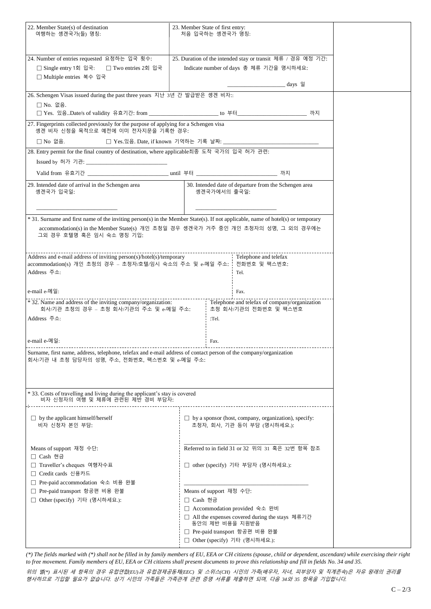| 24. Number of entries requested 요청하는 입국 횟수:<br>□ Single entry 1회 입국:<br>□ Two entries 2회 입국<br>□ Multiple entries 복수 입국<br>26. Schengen Visas issued during the past three years 지난 3년 간 발급받은 솅겐 비자::<br>□ No. 없음.<br>솅겐 비자 신청을 목적으로 예전에 이미 전자지문을 기록한 경우:<br>□ No 없음. |                                                                                                                                                                                                                   |                                                                                                    | 25. Duration of the intended stay or transit 체류 / 경유 예정 기간:<br>Indicate number of days 총 체류 기간을 명시하세요:<br>______________________________days 일 |  |  |  |  |
|-----------------------------------------------------------------------------------------------------------------------------------------------------------------------------------------------------------------------------------------------------------------------|-------------------------------------------------------------------------------------------------------------------------------------------------------------------------------------------------------------------|----------------------------------------------------------------------------------------------------|------------------------------------------------------------------------------------------------------------------------------------------------|--|--|--|--|
|                                                                                                                                                                                                                                                                       |                                                                                                                                                                                                                   |                                                                                                    |                                                                                                                                                |  |  |  |  |
|                                                                                                                                                                                                                                                                       |                                                                                                                                                                                                                   |                                                                                                    |                                                                                                                                                |  |  |  |  |
|                                                                                                                                                                                                                                                                       |                                                                                                                                                                                                                   | □ Yes. 있음Date/s of validity 유효기간: from _______________________ to 부터___________________________ 까지 |                                                                                                                                                |  |  |  |  |
|                                                                                                                                                                                                                                                                       |                                                                                                                                                                                                                   | 27. Fingerprints collected previously for the purpose of applying for a Schengen visa              |                                                                                                                                                |  |  |  |  |
|                                                                                                                                                                                                                                                                       |                                                                                                                                                                                                                   |                                                                                                    |                                                                                                                                                |  |  |  |  |
| 28. Entry permit for the final country of destination, where applicable최종 도착 국가의 입국 허가 관련:                                                                                                                                                                            |                                                                                                                                                                                                                   |                                                                                                    |                                                                                                                                                |  |  |  |  |
|                                                                                                                                                                                                                                                                       |                                                                                                                                                                                                                   |                                                                                                    | 까지                                                                                                                                             |  |  |  |  |
| 29. Intended date of arrival in the Schengen area<br>솅겐국가 입국일:                                                                                                                                                                                                        | 30. Intended date of departure from the Schengen area<br>솅겐국가에서의 출국일:                                                                                                                                             |                                                                                                    |                                                                                                                                                |  |  |  |  |
| * 31. Surname and first name of the inviting person(s) in the Member State(s). If not applicable, name of hotel(s) or temporary<br>accommodation(s) in the Member State(s) 개인 초청일 경우 솅겐국가 거주 중인 개인 초청자의 성명, 그 외의 경우에는<br>그외 경우 호텔명 혹은 임시 숙소 명칭 기입:                    |                                                                                                                                                                                                                   |                                                                                                    |                                                                                                                                                |  |  |  |  |
| Address and e-mail address of inviting person(s)/hotel(s)/temporary<br>accommodation(s) 개인 초청의 경우 - 초청자/호텔/임시 숙소의 주소 및 e-메일 주소:<br>Address 주소:                                                                                                                        |                                                                                                                                                                                                                   |                                                                                                    | Telephone and telefax<br>전화번호 및 팩스번호:<br>Tel.                                                                                                  |  |  |  |  |
| e-mail e-메일:                                                                                                                                                                                                                                                          |                                                                                                                                                                                                                   |                                                                                                    | Fax.                                                                                                                                           |  |  |  |  |
| * 32. Name and address of the inviting company/organization:<br>회사/기관 초청의 경우 – 초청 회사/기관의 주소 및 e-메일 주소:<br>Address 주소:                                                                                                                                                 | Telephone and telefax of company/organization<br>초청 회사/기관의 전화번호 및 팩스번호<br>:Tel.                                                                                                                                   |                                                                                                    |                                                                                                                                                |  |  |  |  |
| e-mail e-메일:                                                                                                                                                                                                                                                          | Fax.                                                                                                                                                                                                              |                                                                                                    |                                                                                                                                                |  |  |  |  |
| Surname, first name, address, telephone, telefax and e-mail address of contact person of the company/organization<br>회사/기관 내 초청 담당자의 성명, 주소, 전화번호, 팩스번호 및 e-메일 주소:                                                                                                    |                                                                                                                                                                                                                   |                                                                                                    |                                                                                                                                                |  |  |  |  |
| * 33. Costs of travelling and living during the applicant's stay is covered<br>비자 신청자의 여행 및 체류에 관련된 제반 경비 부담자:                                                                                                                                                        |                                                                                                                                                                                                                   |                                                                                                    |                                                                                                                                                |  |  |  |  |
| $\Box$ by the applicant himself/herself<br>비자 신청자 본인 부담:                                                                                                                                                                                                              | $\Box$ by a sponsor (host, company, organization), specify:<br>초청자, 회사, 기관 등이 부담 (명시하세요.):                                                                                                                        |                                                                                                    |                                                                                                                                                |  |  |  |  |
| Means of support 재정 수단:<br>□ Cash 현금<br>□ Traveller's cheques 여행자수표                                                                                                                                                                                                   | Referred to in field 31 or 32 위의 31 혹은 32번 항목 참조<br>□ other (specify) 기타 부담자 (명시하세요.):                                                                                                                            |                                                                                                    |                                                                                                                                                |  |  |  |  |
| □ Credit cards 신용카드<br>□ Pre-paid accommodation 숙소 비용 완불                                                                                                                                                                                                              |                                                                                                                                                                                                                   |                                                                                                    |                                                                                                                                                |  |  |  |  |
| □ Pre-paid transport 항공편 비용 완불<br>□ Other (specify) 기타 (명시하세요.):                                                                                                                                                                                                      | Means of support 재정 수단:<br>□ Cash 현금<br>□ Accommodation provided 숙소 완비<br>□ All the expenses covered during the stays 체류기간<br>동안의 제반 비용을 지원받음<br>□ Pre-paid transport 항공편 비용 완불<br>□ Other (specify) 기타 (명시하세요.): |                                                                                                    |                                                                                                                                                |  |  |  |  |

*(\*) The fields marked with (\*) shall not be filled in by family members of EU, EEA or CH citizens (spouse, child or dependent, ascendant) while exercising their right*  to free movement. Family members of EU, EEA or CH citizens shall present documents to prove this relationship and fill in fields No. 34 and 35.

위의 별*(\*)* 표시된 세 항목의 경우 유럽연합*(EU)*과 유럽경제공동체*(EEC)* 및 스위스*(CH)* 시민의 가족*(*배우자*,* 자녀*,* 피부양자 및 직계존속*)*은 자유 왕래의 권리를 행사하므로 기입할 필요가 없습니다*.* 상기 시민의 가족들은 가족관계 관련 증명 서류를 제출하면 되며*,* 다음 *34*와 *35* 항목을 기입합니다*.*